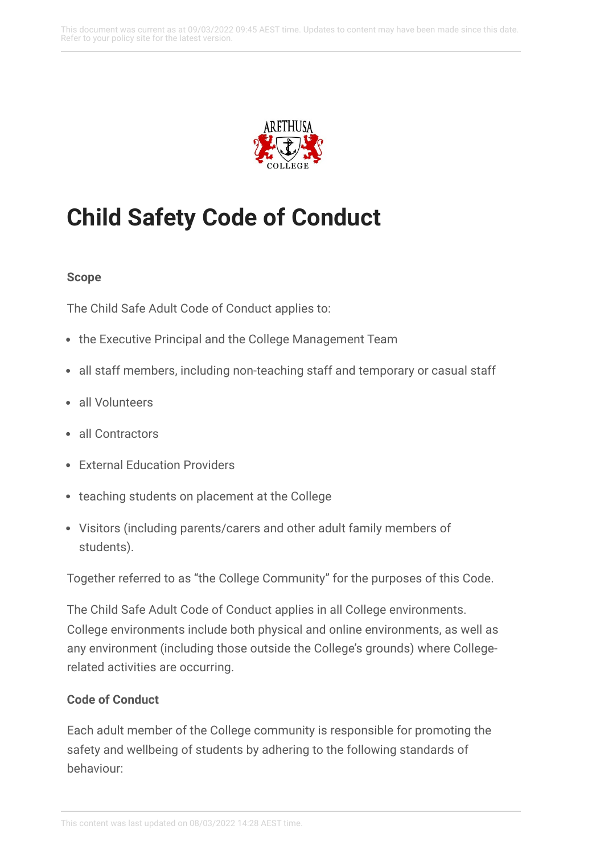

# **Child Safety Code of Conduct**

#### **Scope**

The Child Safe Adult Code of Conduct applies to:

- the Executive Principal and the College Management Team
- all staff members, including non-teaching staff and temporary or casual staff
- all Volunteers
- all Contractors
- External Education Providers
- teaching students on placement at the College
- Visitors (including parents/carers and other adult family members of students).

Together referred to as "the College Community" for the purposes of this Code.

The Child Safe Adult Code of Conduct applies in all College environments. College environments include both physical and online environments, as well as any environment (including those outside the College's grounds) where Collegerelated activities are occurring.

## **Code of Conduct**

Each adult member of the College community is responsible for promoting the safety and wellbeing of students by adhering to the following standards of behaviour: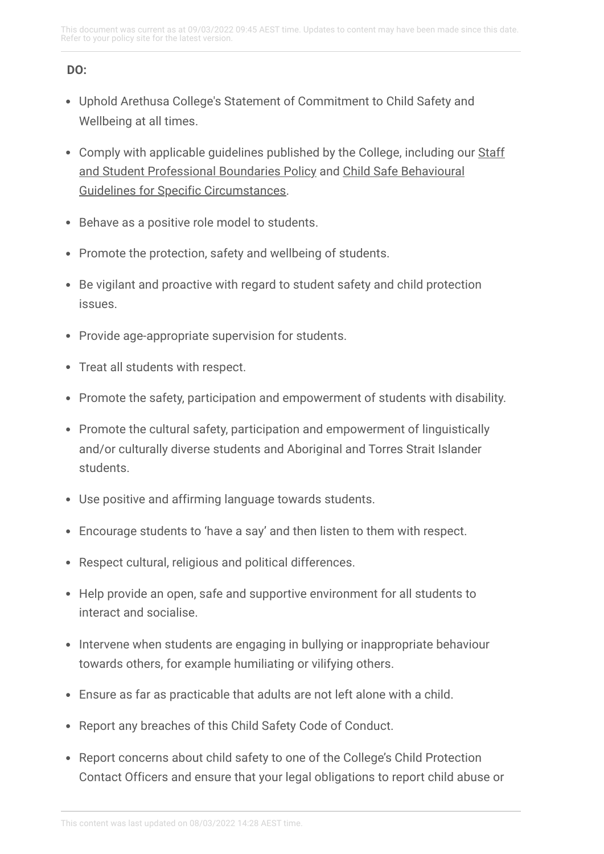# **DO:**

- Uphold Arethusa College's Statement of Commitment to Child Safety and Wellbeing at all times.
- Comply with applicable guidelines published by the College, including our Staff and Student [Professional](https://arethusa.policyconnect.com.au/module/133/page/9c68019b-74b4-4f9b-8307-50502b3750c3.md) Boundaries Policy and Child Safe Behavioural Guidelines for Specific [Circumstances.](https://arethusa.policyconnect.com.au/module/133/page/b630e5a9-6d9a-4829-a2fd-fa5220c2bc8b.md)
- Behave as a positive role model to students.
- Promote the protection, safety and wellbeing of students.
- Be vigilant and proactive with regard to student safety and child protection issues.
- Provide age-appropriate supervision for students.
- Treat all students with respect.
- Promote the safety, participation and empowerment of students with disability.
- Promote the cultural safety, participation and empowerment of linguistically and/or culturally diverse students and Aboriginal and Torres Strait Islander students.
- Use positive and affirming language towards students.
- Encourage students to 'have a say' and then listen to them with respect.
- Respect cultural, religious and political differences.
- Help provide an open, safe and supportive environment for all students to interact and socialise.
- Intervene when students are engaging in bullying or inappropriate behaviour towards others, for example humiliating or vilifying others.
- Ensure as far as practicable that adults are not left alone with a child.
- Report any breaches of this Child Safety Code of Conduct.
- Report concerns about child safety to one of the College's Child Protection Contact Officers and ensure that your legal obligations to report child abuse or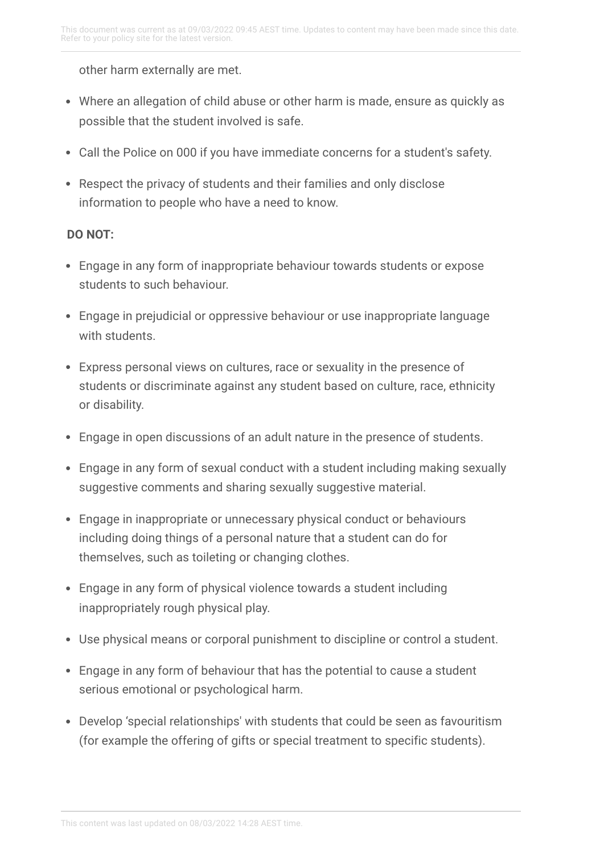other harm externally are met.

- Where an allegation of child abuse or other harm is made, ensure as quickly as possible that the student involved is safe.
- Call the Police on 000 if you have immediate concerns for a student's safety.
- Respect the privacy of students and their families and only disclose information to people who have a need to know.

## **DO NOT:**

- Engage in any form of inappropriate behaviour towards students or expose students to such behaviour.
- Engage in prejudicial or oppressive behaviour or use inappropriate language with students.
- Express personal views on cultures, race or sexuality in the presence of students or discriminate against any student based on culture, race, ethnicity or disability.
- Engage in open discussions of an adult nature in the presence of students.
- Engage in any form of sexual conduct with a student including making sexually suggestive comments and sharing sexually suggestive material.
- Engage in inappropriate or unnecessary physical conduct or behaviours including doing things of a personal nature that a student can do for themselves, such as toileting or changing clothes.
- Engage in any form of physical violence towards a student including inappropriately rough physical play.
- Use physical means or corporal punishment to discipline or control a student.
- Engage in any form of behaviour that has the potential to cause a student serious emotional or psychological harm.
- Develop 'special relationships' with students that could be seen as favouritism (for example the offering of gifts or special treatment to specific students).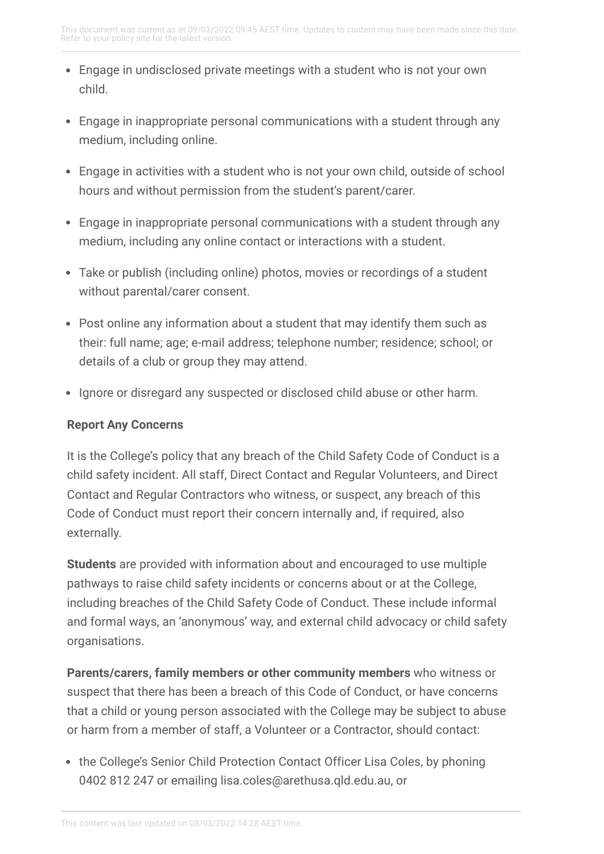- Engage in undisclosed private meetings with a student who is not your own child.
- Engage in inappropriate personal communications with a student through any medium, including online.
- Engage in activities with a student who is not your own child, outside of school hours and without permission from the student's parent/carer.
- Engage in inappropriate personal communications with a student through any medium, including any online contact or interactions with a student.
- Take or publish (including online) photos, movies or recordings of a student without parental/carer consent.
- Post online any information about a student that may identify them such as their: full name; age; e-mail address; telephone number; residence; school; or details of a club or group they may attend.
- Ignore or disregard any suspected or disclosed child abuse or other harm.

# **Report Any Concerns**

It is the College's policy that any breach of the Child Safety Code of Conduct is a child safety incident. All staff, Direct Contact and Regular Volunteers, and Direct Contact and Regular Contractors who witness, or suspect, any breach of this Code of Conduct must report their concern internally and, if required, also externally.

**Students** are provided with information about and encouraged to use multiple pathways to raise child safety incidents or concerns about or at the College, including breaches of the Child Safety Code of Conduct. These include informal and formal ways, an 'anonymous' way, and external child advocacy or child safety organisations.

**Parents/carers, family members or other community members** who witness or suspect that there has been a breach of this Code of Conduct, or have concerns that a child or young person associated with the College may be subject to abuse or harm from a member of staff, a Volunteer or a Contractor, should contact:

• the College's Senior Child Protection Contact Officer Lisa Coles, by phoning 0402 812 247 or emailing lisa.coles@arethusa.qld.edu.au, or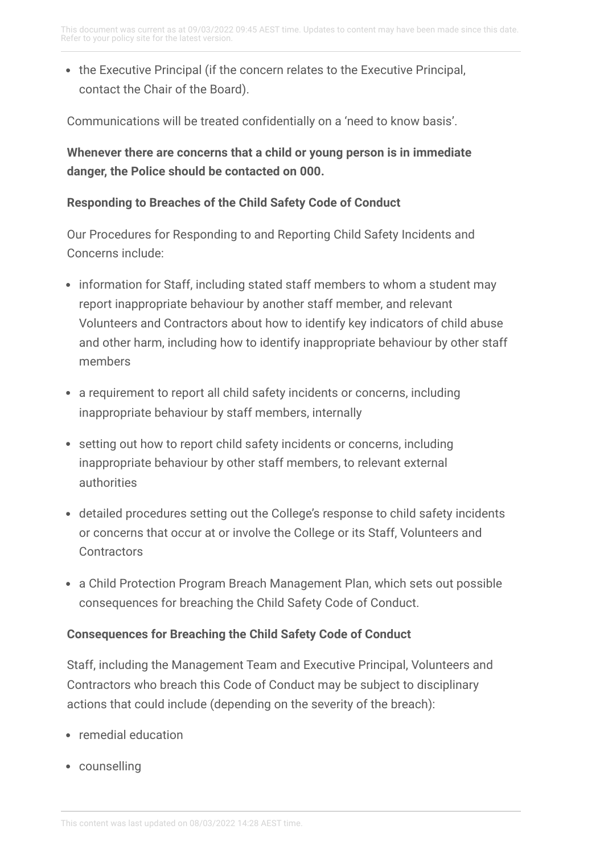• the Executive Principal (if the concern relates to the Executive Principal, contact the Chair of the Board).

Communications will be treated confidentially on a 'need to know basis'.

**Whenever there are concerns that a child or young person is in immediate danger, the Police should be contacted on 000.**

## **Responding to Breaches of the Child Safety Code of Conduct**

Our Procedures for Responding to and Reporting Child Safety Incidents and Concerns include:

- information for Staff, including stated staff members to whom a student may report inappropriate behaviour by another staff member, and relevant Volunteers and Contractors about how to identify key indicators of child abuse and other harm, including how to identify inappropriate behaviour by other staff members
- a requirement to report all child safety incidents or concerns, including inappropriate behaviour by staff members, internally
- setting out how to report child safety incidents or concerns, including inappropriate behaviour by other staff members, to relevant external authorities
- detailed procedures setting out the College's response to child safety incidents or concerns that occur at or involve the College or its Staff, Volunteers and **Contractors**
- a Child Protection Program Breach Management Plan, which sets out possible consequences for breaching the Child Safety Code of Conduct.

## **Consequences for Breaching the Child Safety Code of Conduct**

Staff, including the Management Team and Executive Principal, Volunteers and Contractors who breach this Code of Conduct may be subject to disciplinary actions that could include (depending on the severity of the breach):

- remedial education
- counselling